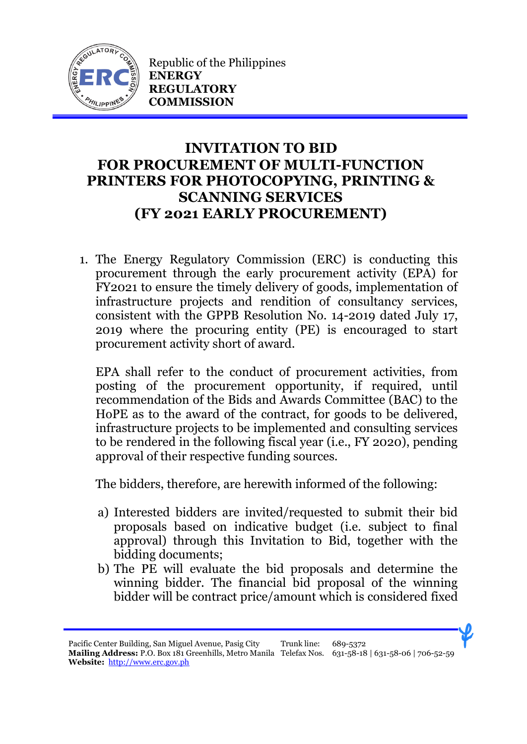

Republic of the Philippines **ENERGY REGULATORY COMMISSION**

## **INVITATION TO BID FOR PROCUREMENT OF MULTI-FUNCTION PRINTERS FOR PHOTOCOPYING, PRINTING & SCANNING SERVICES (FY 2021 EARLY PROCUREMENT)**

1. The Energy Regulatory Commission (ERC) is conducting this procurement through the early procurement activity (EPA) for FY2021 to ensure the timely delivery of goods, implementation of infrastructure projects and rendition of consultancy services, consistent with the GPPB Resolution No. 14-2019 dated July 17, 2019 where the procuring entity (PE) is encouraged to start procurement activity short of award.

EPA shall refer to the conduct of procurement activities, from posting of the procurement opportunity, if required, until recommendation of the Bids and Awards Committee (BAC) to the HoPE as to the award of the contract, for goods to be delivered, infrastructure projects to be implemented and consulting services to be rendered in the following fiscal year (i.e., FY 2020), pending approval of their respective funding sources.

The bidders, therefore, are herewith informed of the following:

- a) Interested bidders are invited/requested to submit their bid proposals based on indicative budget (i.e. subject to final approval) through this Invitation to Bid, together with the bidding documents;
- b) The PE will evaluate the bid proposals and determine the winning bidder. The financial bid proposal of the winning bidder will be contract price/amount which is considered fixed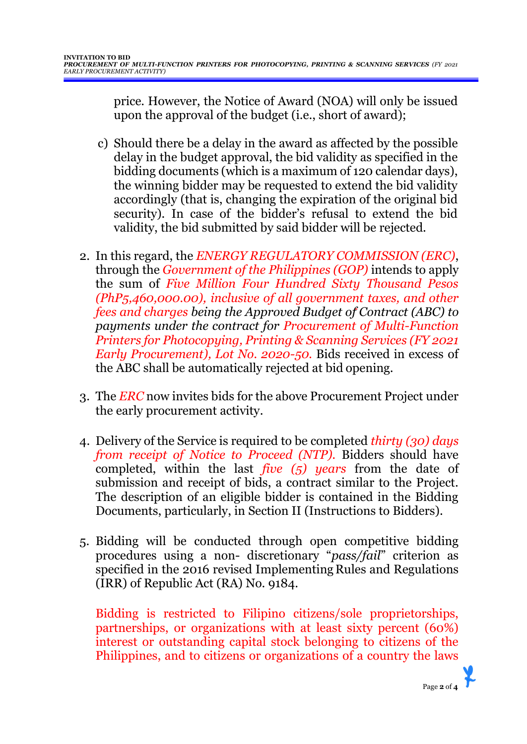price. However, the Notice of Award (NOA) will only be issued upon the approval of the budget (i.e., short of award);

- c) Should there be a delay in the award as affected by the possible delay in the budget approval, the bid validity as specified in the bidding documents (which is a maximum of 120 calendar days), the winning bidder may be requested to extend the bid validity accordingly (that is, changing the expiration of the original bid security). In case of the bidder's refusal to extend the bid validity, the bid submitted by said bidder will be rejected.
- 2. In this regard, the *ENERGY REGULATORY COMMISSION (ERC)*, through the *Government of the Philippines (GOP)* intends to apply the sum of *Five Million Four Hundred Sixty Thousand Pesos (PhP5,460,000.00), inclusive of all government taxes, and other fees and charges being the Approved Budget of Contract (ABC) to payments under the contract for Procurement of Multi-Function Printers for Photocopying, Printing & Scanning Services (FY 2021 Early Procurement), Lot No. 2020-50.* Bids received in excess of the ABC shall be automatically rejected at bid opening.
- 3. The *ERC* now invites bids for the above Procurement Project under the early procurement activity.
- 4. Delivery of the Service is required to be completed *thirty (30) days from receipt of Notice to Proceed (NTP).* Bidders should have completed, within the last *five (5) years* from the date of submission and receipt of bids, a contract similar to the Project. The description of an eligible bidder is contained in the Bidding Documents, particularly, in Section II (Instructions to Bidders).
- 5. Bidding will be conducted through open competitive bidding procedures using a non- discretionary "*pass/fail*" criterion as specified in the 2016 revised Implementing Rules and Regulations (IRR) of Republic Act (RA) No. 9184.

Bidding is restricted to Filipino citizens/sole proprietorships, partnerships, or organizations with at least sixty percent (60%) interest or outstanding capital stock belonging to citizens of the Philippines, and to citizens or organizations of a country the laws

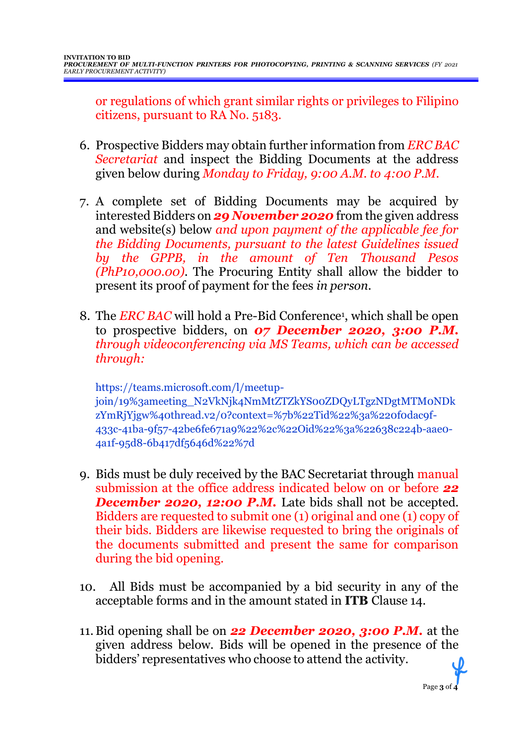or regulations of which grant similar rights or privileges to Filipino citizens, pursuant to RA No. 5183.

- 6. Prospective Bidders may obtain further information from *ERC BAC Secretariat* and inspect the Bidding Documents at the address given below during *Monday to Friday, 9:00 A.M. to 4:00 P.M*.
- 7. A complete set of Bidding Documents may be acquired by interested Bidders on *29 November 2020* from the given address and website(s) below *and upon payment of the applicable fee for the Bidding Documents, pursuant to the latest Guidelines issued by the GPPB, in the amount of Ten Thousand Pesos (PhP10,000.00)*. The Procuring Entity shall allow the bidder to present its proof of payment for the fees *in person.*
- 8. The *ERC BAC* will hold a Pre-Bid Conference<sup>1</sup>, which shall be open to prospective bidders, on *07 December 2020, 3:00 P.M. through videoconferencing via MS Teams, which can be accessed through:*

https://teams.microsoft.com/l/meetupjoin/19%3ameeting\_N2VkNjk4NmMtZTZkYS00ZDQyLTgzNDgtMTM0NDk zYmRjYjgw%40thread.v2/0?context=%7b%22Tid%22%3a%220f0dac9f-433c-41ba-9f57-42be6fe671a9%22%2c%22Oid%22%3a%22638c224b-aae0- 4a1f-95d8-6b417df5646d%22%7d

- 9. Bids must be duly received by the BAC Secretariat through manual submission at the office address indicated below on or before *22* **December 2020, 12:00 P.M.** Late bids shall not be accepted. Bidders are requested to submit one (1) original and one (1) copy of their bids. Bidders are likewise requested to bring the originals of the documents submitted and present the same for comparison during the bid opening.
- 10. All Bids must be accompanied by a bid security in any of the acceptable forms and in the amount stated in **ITB** Clause 14.
- 11.Bid opening shall be on *22 December 2020, 3:00 P.M.* at the given address below. Bids will be opened in the presence of the bidders' representatives who choose to attend the activity.